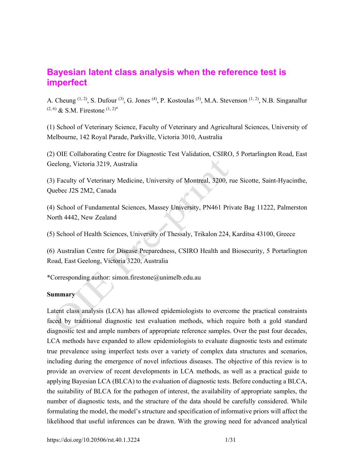# **Bayesian latent class analysis when the reference test is imperfect**

A. Cheung <sup>(1, 2)</sup>, S. Dufour <sup>(3)</sup>, G. Jones <sup>(4)</sup>, P. Kostoulas <sup>(5)</sup>, M.A. Stevenson <sup>(1, 2)</sup>, N.B. Singanallur  $(2, 6)$  & S.M. Firestone  $(1, 2)^*$ 

(1) School of Veterinary Science, Faculty of Veterinary and Agricultural Sciences, University of Melbourne, 142 Royal Parade, Parkville, Victoria 3010, Australia

(2) OIE Collaborating Centre for Diagnostic Test Validation, CSIRO, 5 Portarlington Road, East Geelong, Victoria 3219, Australia

(3) Faculty of Veterinary Medicine, University of Montreal, 3200, rue Sicotte, Saint-Hyacinthe, Quebec J2S 2M2, Canada

(4) School of Fundamental Sciences, Massey University, PN461 Private Bag 11222, Palmerston North 4442, New Zealand

(5) School of Health Sciences, University of Thessaly, Trikalon 224, Karditsa 43100, Greece

(6) Australian Centre for Disease Preparedness, CSIRO Health and Biosecurity, 5 Portarlington Road, East Geelong, Victoria 3220, Australia

\*Corresponding author: simon.firestone@unimelb.edu.au

## **Summary**

Latent class analysis (LCA) has allowed epidemiologists to overcome the practical constraints faced by traditional diagnostic test evaluation methods, which require both a gold standard diagnostic test and ample numbers of appropriate reference samples. Over the past four decades, LCA methods have expanded to allow epidemiologists to evaluate diagnostic tests and estimate true prevalence using imperfect tests over a variety of complex data structures and scenarios, including during the emergence of novel infectious diseases. The objective of this review is to provide an overview of recent developments in LCA methods, as well as a practical guide to applying Bayesian LCA (BLCA) to the evaluation of diagnostic tests. Before conducting a BLCA, the suitability of BLCA for the pathogen of interest, the availability of appropriate samples, the number of diagnostic tests, and the structure of the data should be carefully considered. While formulating the model, the model's structure and specification of informative priors will affect the likelihood that useful inferences can be drawn. With the growing need for advanced analytical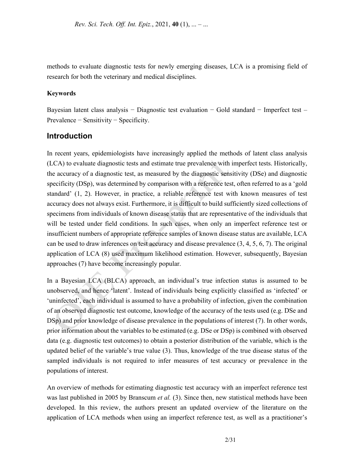methods to evaluate diagnostic tests for newly emerging diseases, LCA is a promising field of research for both the veterinary and medical disciplines.

### **Keywords**

Bayesian latent class analysis − Diagnostic test evaluation − Gold standard − Imperfect test – Prevalence − Sensitivity − Specificity.

## **Introduction**

In recent years, epidemiologists have increasingly applied the methods of latent class analysis (LCA) to evaluate diagnostic tests and estimate true prevalence with imperfect tests. Historically, the accuracy of a diagnostic test, as measured by the diagnostic sensitivity (DSe) and diagnostic specificity (DSp), was determined by comparison with a reference test, often referred to as a 'gold standard' (1, 2). However, in practice, a reliable reference test with known measures of test accuracy does not always exist. Furthermore, it is difficult to build sufficiently sized collections of specimens from individuals of known disease status that are representative of the individuals that will be tested under field conditions. In such cases, when only an imperfect reference test or insufficient numbers of appropriate reference samples of known disease status are available, LCA can be used to draw inferences on test accuracy and disease prevalence (3, 4, 5, 6, 7). The original application of LCA (8) used maximum likelihood estimation. However, subsequently, Bayesian approaches (7) have become increasingly popular.

In a Bayesian LCA (BLCA) approach, an individual's true infection status is assumed to be unobserved, and hence 'latent'. Instead of individuals being explicitly classified as 'infected' or 'uninfected', each individual is assumed to have a probability of infection, given the combination of an observed diagnostic test outcome, knowledge of the accuracy of the tests used (e.g. DSe and DSp) and prior knowledge of disease prevalence in the populations of interest (7). In other words, prior information about the variables to be estimated (e.g. DSe or DSp) is combined with observed data (e.g. diagnostic test outcomes) to obtain a posterior distribution of the variable, which is the updated belief of the variable's true value (3). Thus, knowledge of the true disease status of the sampled individuals is not required to infer measures of test accuracy or prevalence in the populations of interest.

An overview of methods for estimating diagnostic test accuracy with an imperfect reference test was last published in 2005 by Branscum *et al.* (3). Since then, new statistical methods have been developed. In this review, the authors present an updated overview of the literature on the application of LCA methods when using an imperfect reference test, as well as a practitioner's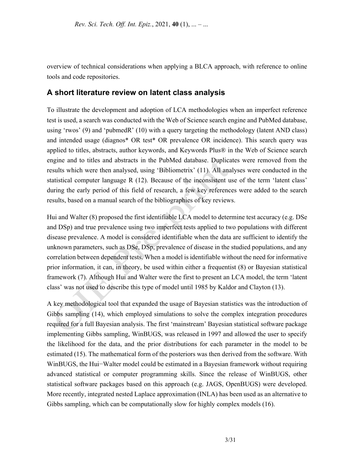overview of technical considerations when applying a BLCA approach, with reference to online tools and code repositories.

## **A short literature review on latent class analysis**

To illustrate the development and adoption of LCA methodologies when an imperfect reference test is used, a search was conducted with the Web of Science search engine and PubMed database, using 'rwos' (9) and 'pubmedR' (10) with a query targeting the methodology (latent AND class) and intended usage (diagnos\* OR test\* OR prevalence OR incidence). This search query was applied to titles, abstracts, author keywords, and Keywords Plus® in the Web of Science search engine and to titles and abstracts in the PubMed database. Duplicates were removed from the results which were then analysed, using 'Bibliometrix' (11). All analyses were conducted in the statistical computer language R (12). Because of the inconsistent use of the term 'latent class' during the early period of this field of research, a few key references were added to the search results, based on a manual search of the bibliographies of key reviews.

Hui and Walter (8) proposed the first identifiable LCA model to determine test accuracy (e.g. DSe and DSp) and true prevalence using two imperfect tests applied to two populations with different disease prevalence. A model is considered identifiable when the data are sufficient to identify the unknown parameters, such as DSe, DSp, prevalence of disease in the studied populations, and any correlation between dependent tests. When a model is identifiable without the need for informative prior information, it can, in theory, be used within either a frequentist (8) or Bayesian statistical framework (7). Although Hui and Walter were the first to present an LCA model, the term 'latent class' was not used to describe this type of model until 1985 by Kaldor and Clayton (13).

A key methodological tool that expanded the usage of Bayesian statistics was the introduction of Gibbs sampling (14), which employed simulations to solve the complex integration procedures required for a full Bayesian analysis. The first 'mainstream' Bayesian statistical software package implementing Gibbs sampling, WinBUGS, was released in 1997 and allowed the user to specify the likelihood for the data, and the prior distributions for each parameter in the model to be estimated (15). The mathematical form of the posteriors was then derived from the software. With WinBUGS, the Hui−Walter model could be estimated in a Bayesian framework without requiring advanced statistical or computer programming skills. Since the release of WinBUGS, other statistical software packages based on this approach (e.g. JAGS, OpenBUGS) were developed. More recently, integrated nested Laplace approximation (INLA) has been used as an alternative to Gibbs sampling, which can be computationally slow for highly complex models (16).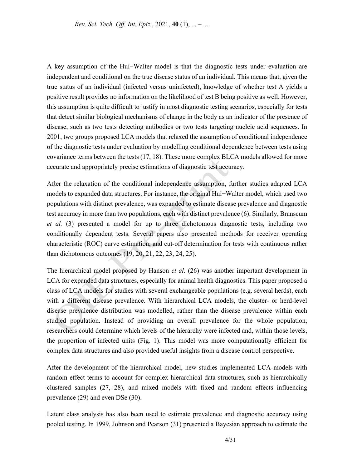A key assumption of the Hui−Walter model is that the diagnostic tests under evaluation are independent and conditional on the true disease status of an individual. This means that, given the true status of an individual (infected versus uninfected), knowledge of whether test A yields a positive result provides no information on the likelihood of test B being positive as well. However, this assumption is quite difficult to justify in most diagnostic testing scenarios, especially for tests that detect similar biological mechanisms of change in the body as an indicator of the presence of disease, such as two tests detecting antibodies or two tests targeting nucleic acid sequences. In 2001, two groups proposed LCA models that relaxed the assumption of conditional independence of the diagnostic tests under evaluation by modelling conditional dependence between tests using covariance terms between the tests (17, 18). These more complex BLCA models allowed for more accurate and appropriately precise estimations of diagnostic test accuracy.

After the relaxation of the conditional independence assumption, further studies adapted LCA models to expanded data structures. For instance, the original Hui−Walter model, which used two populations with distinct prevalence, was expanded to estimate disease prevalence and diagnostic test accuracy in more than two populations, each with distinct prevalence (6). Similarly, Branscum *et al.* (3) presented a model for up to three dichotomous diagnostic tests, including two conditionally dependent tests. Several papers also presented methods for receiver operating characteristic (ROC) curve estimation, and cut-off determination for tests with continuous rather than dichotomous outcomes (19, 20, 21, 22, 23, 24, 25).

The hierarchical model proposed by Hanson *et al.* (26) was another important development in LCA for expanded data structures, especially for animal health diagnostics. This paper proposed a class of LCA models for studies with several exchangeable populations (e.g. several herds), each with a different disease prevalence. With hierarchical LCA models, the cluster- or herd-level disease prevalence distribution was modelled, rather than the disease prevalence within each studied population. Instead of providing an overall prevalence for the whole population, researchers could determine which levels of the hierarchy were infected and, within those levels, the proportion of infected units (Fig. 1). This model was more computationally efficient for complex data structures and also provided useful insights from a disease control perspective.

After the development of the hierarchical model, new studies implemented LCA models with random effect terms to account for complex hierarchical data structures, such as hierarchically clustered samples (27, 28), and mixed models with fixed and random effects influencing prevalence (29) and even DSe (30).

Latent class analysis has also been used to estimate prevalence and diagnostic accuracy using pooled testing. In 1999, Johnson and Pearson (31) presented a Bayesian approach to estimate the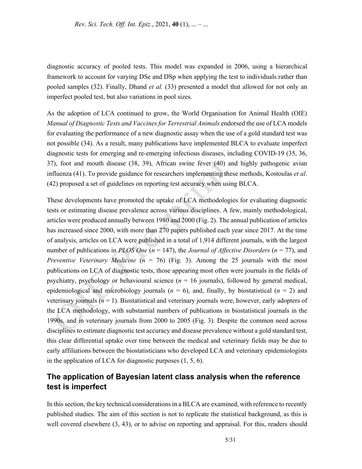diagnostic accuracy of pooled tests. This model was expanded in 2006, using a hierarchical framework to account for varying DSe and DSp when applying the test to individuals rather than pooled samples (32). Finally, Dhand *et al.* (33) presented a model that allowed for not only an imperfect pooled test, but also variations in pool sizes.

As the adoption of LCA continued to grow, the World Organisation for Animal Health (OIE) *Manual of Diagnostic Tests and Vaccines for Terrestrial Animals* endorsed the use of LCA models for evaluating the performance of a new diagnostic assay when the use of a gold standard test was not possible (34). As a result, many publications have implemented BLCA to evaluate imperfect diagnostic tests for emerging and re-emerging infectious diseases, including COVID-19 (35, 36, 37), foot and mouth disease (38, 39), African swine fever (40) and highly pathogenic avian influenza (41). To provide guidance for researchers implementing these methods, Kostoulas *et al.* (42) proposed a set of guidelines on reporting test accuracy when using BLCA.

These developments have promoted the uptake of LCA methodologies for evaluating diagnostic tests or estimating disease prevalence across various disciplines. A few, mainly methodological, articles were produced annually between 1980 and 2000 (Fig. 2). The annual publication of articles has increased since 2000, with more than 270 papers published each year since 2017. At the time of analysis, articles on LCA were published in a total of 1,914 different journals, with the largest number of publications in *PLOS One* (*n* = 147), the *Journal of Affective Disorders* (*n* = 77), and *Preventive Veterinary Medicine* (*n* = 76) (Fig. 3). Among the 25 journals with the most publications on LCA of diagnostic tests, those appearing most often were journals in the fields of psychiatry, psychology or behavioural science (*n* = 16 journals), followed by general medical, epidemiological and microbiology journals  $(n = 6)$ , and, finally, by biostatistical  $(n = 2)$  and veterinary journals  $(n = 1)$ . Biostatistical and veterinary journals were, however, early adopters of the LCA methodology, with substantial numbers of publications in biostatistical journals in the 1990s, and in veterinary journals from 2000 to 2005 (Fig. 3). Despite the common need across disciplines to estimate diagnostic test accuracy and disease prevalence without a gold standard test, this clear differential uptake over time between the medical and veterinary fields may be due to early affiliations between the biostatisticians who developed LCA and veterinary epidemiologists in the application of LCA for diagnostic purposes (1, 5, 6).

## **The application of Bayesian latent class analysis when the reference test is imperfect**

In this section, the key technical considerations in a BLCA are examined, with reference to recently published studies. The aim of this section is not to replicate the statistical background, as this is well covered elsewhere (3, 43), or to advise on reporting and appraisal. For this, readers should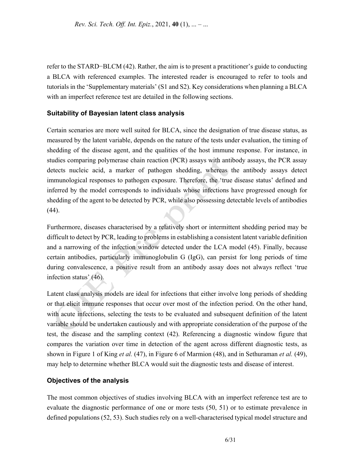refer to the STARD−BLCM (42). Rather, the aim is to present a practitioner's guide to conducting a BLCA with referenced examples. The interested reader is encouraged to refer to tools and tutorials in the 'Supplementary materials' (S1 and S2). Key considerations when planning a BLCA with an imperfect reference test are detailed in the following sections.

### **Suitability of Bayesian latent class analysis**

Certain scenarios are more well suited for BLCA, since the designation of true disease status, as measured by the latent variable, depends on the nature of the tests under evaluation, the timing of shedding of the disease agent, and the qualities of the host immune response. For instance, in studies comparing polymerase chain reaction (PCR) assays with antibody assays, the PCR assay detects nucleic acid, a marker of pathogen shedding, whereas the antibody assays detect immunological responses to pathogen exposure. Therefore, the 'true disease status' defined and inferred by the model corresponds to individuals whose infections have progressed enough for shedding of the agent to be detected by PCR, while also possessing detectable levels of antibodies (44).

Furthermore, diseases characterised by a relatively short or intermittent shedding period may be difficult to detect by PCR, leading to problems in establishing a consistent latent variable definition and a narrowing of the infection window detected under the LCA model (45). Finally, because certain antibodies, particularly immunoglobulin G (IgG), can persist for long periods of time during convalescence, a positive result from an antibody assay does not always reflect 'true infection status' (46).

Latent class analysis models are ideal for infections that either involve long periods of shedding or that elicit immune responses that occur over most of the infection period. On the other hand, with acute infections, selecting the tests to be evaluated and subsequent definition of the latent variable should be undertaken cautiously and with appropriate consideration of the purpose of the test, the disease and the sampling context (42). Referencing a diagnostic window figure that compares the variation over time in detection of the agent across different diagnostic tests, as shown in Figure 1 of King *et al.* (47), in Figure 6 of Marmion (48), and in Sethuraman *et al.* (49), may help to determine whether BLCA would suit the diagnostic tests and disease of interest.

### **Objectives of the analysis**

The most common objectives of studies involving BLCA with an imperfect reference test are to evaluate the diagnostic performance of one or more tests (50, 51) or to estimate prevalence in defined populations (52, 53). Such studies rely on a well-characterised typical model structure and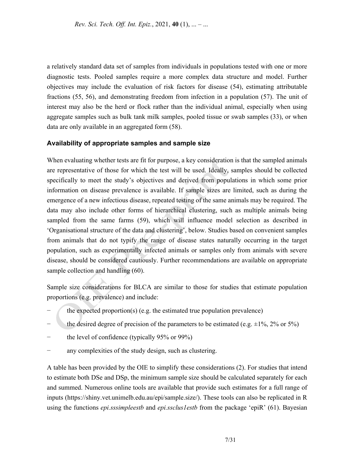a relatively standard data set of samples from individuals in populations tested with one or more diagnostic tests. Pooled samples require a more complex data structure and model. Further objectives may include the evaluation of risk factors for disease (54), estimating attributable fractions (55, 56), and demonstrating freedom from infection in a population (57). The unit of interest may also be the herd or flock rather than the individual animal, especially when using aggregate samples such as bulk tank milk samples, pooled tissue or swab samples (33), or when data are only available in an aggregated form (58).

### **Availability of appropriate samples and sample size**

When evaluating whether tests are fit for purpose, a key consideration is that the sampled animals are representative of those for which the test will be used. Ideally, samples should be collected specifically to meet the study's objectives and derived from populations in which some prior information on disease prevalence is available. If sample sizes are limited, such as during the emergence of a new infectious disease, repeated testing of the same animals may be required. The data may also include other forms of hierarchical clustering, such as multiple animals being sampled from the same farms (59), which will influence model selection as described in 'Organisational structure of the data and clustering', below. Studies based on convenient samples from animals that do not typify the range of disease states naturally occurring in the target population, such as experimentally infected animals or samples only from animals with severe disease, should be considered cautiously. Further recommendations are available on appropriate sample collection and handling (60).

Sample size considerations for BLCA are similar to those for studies that estimate population proportions (e.g. prevalence) and include:

- the expected proportion(s) (e.g. the estimated true population prevalence)
- the desired degree of precision of the parameters to be estimated (e.g.  $\pm 1\%$ , 2% or 5%)
- the level of confidence (typically  $95\%$  or  $99\%$ )
- any complexities of the study design, such as clustering.

A table has been provided by the OIE to simplify these considerations (2). For studies that intend to estimate both DSe and DSp, the minimum sample size should be calculated separately for each and summed. Numerous online tools are available that provide such estimates for a full range of inputs (https://shiny.vet.unimelb.edu.au/epi/sample.size/). These tools can also be replicated in R using the functions *epi.sssimpleestb* and *epi.ssclus1estb* from the package 'epiR' (61). Bayesian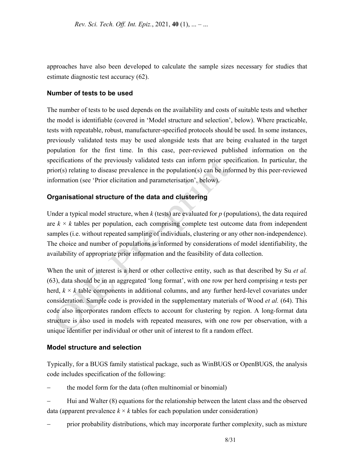approaches have also been developed to calculate the sample sizes necessary for studies that estimate diagnostic test accuracy (62).

### **Number of tests to be used**

The number of tests to be used depends on the availability and costs of suitable tests and whether the model is identifiable (covered in 'Model structure and selection', below). Where practicable, tests with repeatable, robust, manufacturer-specified protocols should be used. In some instances, previously validated tests may be used alongside tests that are being evaluated in the target population for the first time. In this case, peer-reviewed published information on the specifications of the previously validated tests can inform prior specification. In particular, the prior(s) relating to disease prevalence in the population(s) can be informed by this peer-reviewed information (see 'Prior elicitation and parameterisation', below).

## **Organisational structure of the data and clustering**

Under a typical model structure, when  $k$  (tests) are evaluated for  $p$  (populations), the data required are  $k \times k$  tables per population, each comprising complete test outcome data from independent samples (i.e. without repeated sampling of individuals, clustering or any other non-independence). The choice and number of populations is informed by considerations of model identifiability, the availability of appropriate prior information and the feasibility of data collection.

When the unit of interest is a herd or other collective entity, such as that described by Su *et al.* (63), data should be in an aggregated 'long format', with one row per herd comprising *n* tests per herd,  $k \times k$  table components in additional columns, and any further herd-level covariates under consideration. Sample code is provided in the supplementary materials of Wood *et al.* (64). This code also incorporates random effects to account for clustering by region. A long-format data structure is also used in models with repeated measures, with one row per observation, with a unique identifier per individual or other unit of interest to fit a random effect.

## **Model structure and selection**

Typically, for a BUGS family statistical package, such as WinBUGS or OpenBUGS, the analysis code includes specification of the following:

the model form for the data (often multinomial or binomial)

 Hui and Walter (8) equations for the relationship between the latent class and the observed data (apparent prevalence  $k \times k$  tables for each population under consideration)

prior probability distributions, which may incorporate further complexity, such as mixture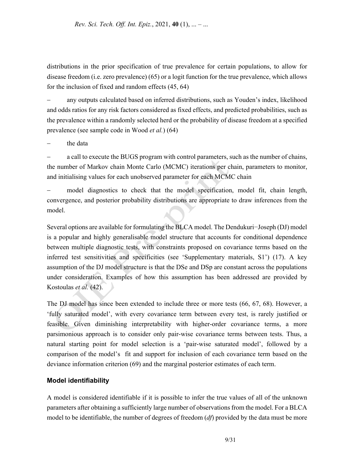distributions in the prior specification of true prevalence for certain populations, to allow for disease freedom (i.e. zero prevalence) (65) or a logit function for the true prevalence, which allows for the inclusion of fixed and random effects (45, 64)

 any outputs calculated based on inferred distributions, such as Youden's index, likelihood and odds ratios for any risk factors considered as fixed effects, and predicted probabilities, such as the prevalence within a randomly selected herd or the probability of disease freedom at a specified prevalence (see sample code in Wood *et al.*) (64)

the data

 a call to execute the BUGS program with control parameters, such as the number of chains, the number of Markov chain Monte Carlo (MCMC) iterations per chain, parameters to monitor, and initialising values for each unobserved parameter for each MCMC chain

 model diagnostics to check that the model specification, model fit, chain length, convergence, and posterior probability distributions are appropriate to draw inferences from the model.

Several options are available for formulating the BLCA model. The Dendukuri−Joseph (DJ) model is a popular and highly generalisable model structure that accounts for conditional dependence between multiple diagnostic tests, with constraints proposed on covariance terms based on the inferred test sensitivities and specificities (see 'Supplementary materials, S1') (17). A key assumption of the DJ model structure is that the DSe and DSp are constant across the populations under consideration. Examples of how this assumption has been addressed are provided by Kostoulas *et al.* (42).

The DJ model has since been extended to include three or more tests (66, 67, 68). However, a 'fully saturated model', with every covariance term between every test, is rarely justified or feasible. Given diminishing interpretability with higher-order covariance terms, a more parsimonious approach is to consider only pair-wise covariance terms between tests. Thus, a natural starting point for model selection is a 'pair-wise saturated model', followed by a comparison of the model's fit and support for inclusion of each covariance term based on the deviance information criterion (69) and the marginal posterior estimates of each term.

## **Model identifiability**

A model is considered identifiable if it is possible to infer the true values of all of the unknown parameters after obtaining a sufficiently large number of observations from the model. For a BLCA model to be identifiable, the number of degrees of freedom (*df*) provided by the data must be more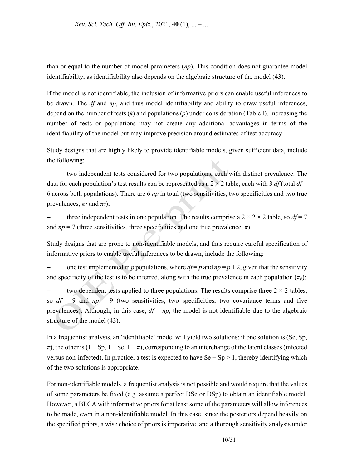than or equal to the number of model parameters (*np*). This condition does not guarantee model identifiability, as identifiability also depends on the algebraic structure of the model (43).

If the model is not identifiable, the inclusion of informative priors can enable useful inferences to be drawn. The *df* and *np*, and thus model identifiability and ability to draw useful inferences, depend on the number of tests (*k*) and populations (*p*) under consideration (Table I). Increasing the number of tests or populations may not create any additional advantages in terms of the identifiability of the model but may improve precision around estimates of test accuracy.

Study designs that are highly likely to provide identifiable models, given sufficient data, include the following:

 two independent tests considered for two populations, each with distinct prevalence. The data for each population's test results can be represented as a  $2 \times 2$  table, each with 3 *df* (total *df* = 6 across both populations). There are 6 *np* in total (two sensitivities, two specificities and two true prevalences,  $\pi_l$  and  $\pi_2$ );

three independent tests in one population. The results comprise a  $2 \times 2 \times 2$  table, so  $df = 7$ and  $np = 7$  (three sensitivities, three specificities and one true prevalence,  $\pi$ ).

Study designs that are prone to non-identifiable models, and thus require careful specification of informative priors to enable useful inferences to be drawn, include the following:

one test implemented in *p* populations, where  $df = p$  and  $np = p + 2$ , given that the sensitivity and specificity of the test is to be inferred, along with the true prevalence in each population  $(\pi_p)$ ;

two dependent tests applied to three populations. The results comprise three  $2 \times 2$  tables, so  $df = 9$  and  $np = 9$  (two sensitivities, two specificities, two covariance terms and five prevalences). Although, in this case,  $df = np$ , the model is not identifiable due to the algebraic structure of the model (43).

In a frequentist analysis, an 'identifiable' model will yield two solutions: if one solution is (Se, Sp,  $\pi$ ), the other is (1 – Sp, 1 – Se, 1 –  $\pi$ ), corresponding to an interchange of the latent classes (infected versus non-infected). In practice, a test is expected to have  $Se + Sp > 1$ , thereby identifying which of the two solutions is appropriate.

For non-identifiable models, a frequentist analysis is not possible and would require that the values of some parameters be fixed (e.g. assume a perfect DSe or DSp) to obtain an identifiable model. However, a BLCA with informative priors for at least some of the parameters will allow inferences to be made, even in a non-identifiable model. In this case, since the posteriors depend heavily on the specified priors, a wise choice of priors is imperative, and a thorough sensitivity analysis under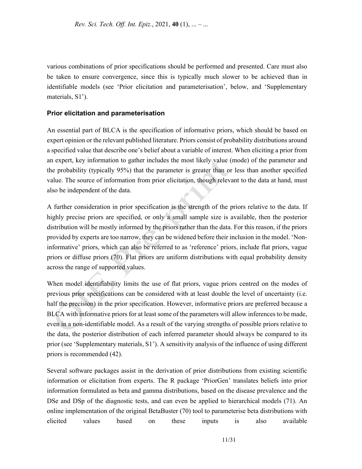various combinations of prior specifications should be performed and presented. Care must also be taken to ensure convergence, since this is typically much slower to be achieved than in identifiable models (see 'Prior elicitation and parameterisation', below, and 'Supplementary materials, S1').

## **Prior elicitation and parameterisation**

An essential part of BLCA is the specification of informative priors, which should be based on expert opinion or the relevant published literature. Priors consist of probability distributions around a specified value that describe one's belief about a variable of interest. When eliciting a prior from an expert, key information to gather includes the most likely value (mode) of the parameter and the probability (typically 95%) that the parameter is greater than or less than another specified value. The source of information from prior elicitation, though relevant to the data at hand, must also be independent of the data.

A further consideration in prior specification is the strength of the priors relative to the data. If highly precise priors are specified, or only a small sample size is available, then the posterior distribution will be mostly informed by the priors rather than the data. For this reason, if the priors provided by experts are too narrow, they can be widened before their inclusion in the model. 'Noninformative' priors, which can also be referred to as 'reference' priors, include flat priors, vague priors or diffuse priors (70). Flat priors are uniform distributions with equal probability density across the range of supported values.

When model identifiability limits the use of flat priors, vague priors centred on the modes of previous prior specifications can be considered with at least double the level of uncertainty (i.e. half the precision) in the prior specification. However, informative priors are preferred because a BLCA with informative priors for at least some of the parameters will allow inferences to be made, even in a non-identifiable model. As a result of the varying strengths of possible priors relative to the data, the posterior distribution of each inferred parameter should always be compared to its prior (see 'Supplementary materials, S1'). A sensitivity analysis of the influence of using different priors is recommended (42).

Several software packages assist in the derivation of prior distributions from existing scientific information or elicitation from experts. The R package 'PriorGen' translates beliefs into prior information formulated as beta and gamma distributions, based on the disease prevalence and the DSe and DSp of the diagnostic tests, and can even be applied to hierarchical models (71). An online implementation of the original BetaBuster (70) tool to parameterise beta distributions with elicited values based on these inputs is also available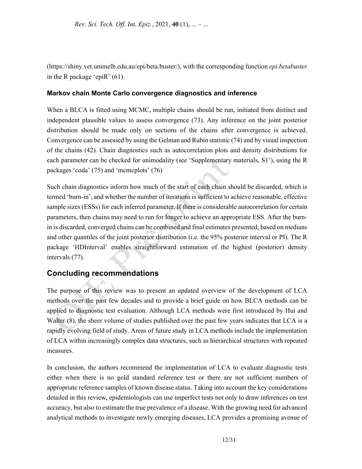(https://shiny.vet.unimelb.edu.au/epi/beta.buster/), with the corresponding function *epi.betabuster* in the R package 'epiR' (61).

## **Markov chain Monte Carlo convergence diagnostics and inference**

When a BLCA is fitted using MCMC, multiple chains should be run, initiated from distinct and independent plausible values to assess convergence (73). Any inference on the joint posterior distribution should be made only on sections of the chains after convergence is achieved. Convergence can be assessed by using the Gelman and Rubin statistic (74) and by visual inspection of the chains (42). Chain diagnostics such as autocorrelation plots and density distributions for each parameter can be checked for unimodality (see 'Supplementary materials, S1'), using the R packages 'coda' (75) and 'mcmcplots' (76)

Such chain diagnostics inform how much of the start of each chain should be discarded, which is termed 'burn-in', and whether the number of iterations is sufficient to achieve reasonable, effective sample sizes (ESSs) for each inferred parameter. If there is considerable autocorrelation for certain parameters, then chains may need to run for longer to achieve an appropriate ESS. After the burnin is discarded, converged chains can be combined and final estimates presented, based on medians and other quantiles of the joint posterior distribution (i.e. the 95% posterior interval or PI). The R package 'HDInterval' enables straightforward estimation of the highest (posterior) density intervals (77).

## **Concluding recommendations**

The purpose of this review was to present an updated overview of the development of LCA methods over the past few decades and to provide a brief guide on how BLCA methods can be applied to diagnostic test evaluation. Although LCA methods were first introduced by Hui and Walter (8), the sheer volume of studies published over the past few years indicates that LCA is a rapidly evolving field of study. Areas of future study in LCA methods include the implementation of LCA within increasingly complex data structures, such as hierarchical structures with repeated measures.

In conclusion, the authors recommend the implementation of LCA to evaluate diagnostic tests either when there is no gold standard reference test or there are not sufficient numbers of appropriate reference samples of known disease status. Taking into account the key considerations detailed in this review, epidemiologists can use imperfect tests not only to draw inferences on test accuracy, but also to estimate the true prevalence of a disease. With the growing need for advanced analytical methods to investigate newly emerging diseases, LCA provides a promising avenue of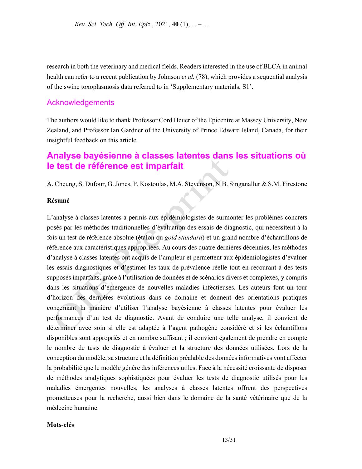research in both the veterinary and medical fields. Readers interested in the use of BLCA in animal health can refer to a recent publication by Johnson *et al.* (78), which provides a sequential analysis of the swine toxoplasmosis data referred to in 'Supplementary materials, S1'.

## Acknowledgements

The authors would like to thank Professor Cord Heuer of the Epicentre at Massey University, New Zealand, and Professor Ian Gardner of the University of Prince Edward Island, Canada, for their insightful feedback on this article.

# **Analyse bayésienne à classes latentes dans les situations où le test de référence est imparfait**

A. Cheung, S. Dufour, G. Jones, P. Kostoulas, M.A. Stevenson, N.B. Singanallur & S.M. Firestone

#### **Résumé**

L'analyse à classes latentes a permis aux épidémiologistes de surmonter les problèmes concrets posés par les méthodes traditionnelles d'évaluation des essais de diagnostic, qui nécessitent à la fois un test de référence absolue (étalon ou *gold standard*) et un grand nombre d'échantillons de référence aux caractéristiques appropriées. Au cours des quatre dernières décennies, les méthodes d'analyse à classes latentes ont acquis de l'ampleur et permettent aux épidémiologistes d'évaluer les essais diagnostiques et d'estimer les taux de prévalence réelle tout en recourant à des tests supposés imparfaits, grâce à l'utilisation de données et de scénarios divers et complexes, y compris dans les situations d'émergence de nouvelles maladies infectieuses. Les auteurs font un tour d'horizon des dernières évolutions dans ce domaine et donnent des orientations pratiques concernant la manière d'utiliser l'analyse bayésienne à classes latentes pour évaluer les performances d'un test de diagnostic. Avant de conduire une telle analyse, il convient de déterminer avec soin si elle est adaptée à l'agent pathogène considéré et si les échantillons disponibles sont appropriés et en nombre suffisant ; il convient également de prendre en compte le nombre de tests de diagnostic à évaluer et la structure des données utilisées. Lors de la conception du modèle, sa structure et la définition préalable des données informatives vont affecter la probabilité que le modèle génère des inférences utiles. Face à la nécessité croissante de disposer de méthodes analytiques sophistiquées pour évaluer les tests de diagnostic utilisés pour les maladies émergentes nouvelles, les analyses à classes latentes offrent des perspectives prometteuses pour la recherche, aussi bien dans le domaine de la santé vétérinaire que de la médecine humaine.

#### **Mots-clés**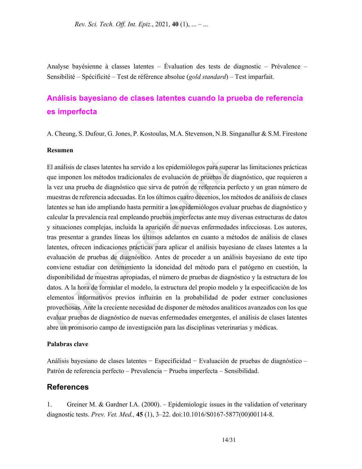Analyse bayésienne à classes latentes – Évaluation des tests de diagnostic – Prévalence – Sensibilité – Spécificité – Test de référence absolue (*gold standard*) – Test imparfait.

# **Análisis bayesiano de clases latentes cuando la prueba de referencia es imperfecta**

A. Cheung, S. Dufour, G. Jones, P. Kostoulas, M.A. Stevenson, N.B. Singanallur & S.M. Firestone

#### **Resumen**

El análisis de clases latentes ha servido a los epidemiólogos para superar las limitaciones prácticas que imponen los métodos tradicionales de evaluación de pruebas de diagnóstico, que requieren a la vez una prueba de diagnóstico que sirva de patrón de referencia perfecto y un gran número de muestras de referencia adecuadas. En los últimos cuatro decenios, los métodos de análisis de clases latentes se han ido ampliando hasta permitir a los epidemiólogos evaluar pruebas de diagnóstico y calcular la prevalencia real empleando pruebas imperfectas ante muy diversas estructuras de datos y situaciones complejas, incluida la aparición de nuevas enfermedades infecciosas. Los autores, tras presentar a grandes líneas los últimos adelantos en cuanto a métodos de análisis de clases latentes, ofrecen indicaciones prácticas para aplicar el análisis bayesiano de clases latentes a la evaluación de pruebas de diagnóstico. Antes de proceder a un análisis bayesiano de este tipo conviene estudiar con detenimiento la idoneidad del método para el patógeno en cuestión, la disponibilidad de muestras apropiadas, el número de pruebas de diagnóstico y la estructura de los datos. A la hora de formular el modelo, la estructura del propio modelo y la especificación de los elementos informativos previos influirán en la probabilidad de poder extraer conclusiones provechosas. Ante la creciente necesidad de disponer de métodos analíticos avanzados con los que evaluar pruebas de diagnóstico de nuevas enfermedades emergentes, el análisis de clases latentes abre un promisorio campo de investigación para las disciplinas veterinarias y médicas.

#### **Palabras clave**

Análisis bayesiano de clases latentes − Especificidad − Evaluación de pruebas de diagnóstico – Patrón de referencia perfecto – Prevalencia − Prueba imperfecta – Sensibilidad.

### **References**

1. Greiner M. & Gardner I.A. (2000). – Epidemiologic issues in the validation of veterinary diagnostic tests. *Prev. Vet. Med.,* **45** (1), 3–22. doi:10.1016/S0167-5877(00)00114-8.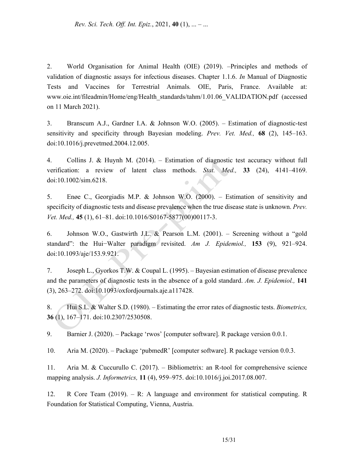2. World Organisation for Animal Health (OIE) (2019). –Principles and methods of validation of diagnostic assays for infectious diseases. Chapter 1.1.6. *In* Manual of Diagnostic Tests and Vaccines for Terrestrial Animals*.* OIE, Paris, France. Available at: www.oie.int/fileadmin/Home/eng/Health\_standards/tahm/1.01.06\_VALIDATION.pdf (accessed on 11 March 2021).

3. Branscum A.J., Gardner I.A. & Johnson W.O. (2005). – Estimation of diagnostic-test sensitivity and specificity through Bayesian modeling. *Prev. Vet. Med.,* **68** (2), 145–163. doi:10.1016/j.prevetmed.2004.12.005.

4. Collins J. & Huynh M. (2014). – Estimation of diagnostic test accuracy without full verification: a review of latent class methods. *Stat. Med.,* **33** (24), 4141–4169. doi:10.1002/sim.6218.

5. Enøe C., Georgiadis M.P. & Johnson W.O. (2000). – Estimation of sensitivity and specificity of diagnostic tests and disease prevalence when the true disease state is unknown. *Prev. Vet. Med.,* **45** (1), 61–81. doi:10.1016/S0167-5877(00)00117-3.

6. Johnson W.O., Gastwirth J.L. & Pearson L.M. (2001). – Screening without a "gold standard": the Hui−Walter paradigm revisited. *Am J. Epidemiol.,* **153** (9), 921–924. doi:10.1093/aje/153.9.921.

7. Joseph L., Gyorkos T.W. & Coupal L. (1995). – Bayesian estimation of disease prevalence and the parameters of diagnostic tests in the absence of a gold standard. *Am. J. Epidemiol.,* **141** (3), 263–272. doi:10.1093/oxfordjournals.aje.a117428.

8. Hui S.L. & Walter S.D. (1980). – Estimating the error rates of diagnostic tests. *Biometrics,*  **36** (1), 167–171. doi:10.2307/2530508.

9. Barnier J. (2020). – Package 'rwos' [computer software]. R package version 0.0.1.

10. Aria M. (2020). – Package 'pubmedR' [computer software]. R package version 0.0.3.

11. Aria M. & Cuccurullo C. (2017). – Bibliometrix: an R-tool for comprehensive science mapping analysis. *J. Informetrics,* **11** (4), 959–975. doi:10.1016/j.joi.2017.08.007.

12. R Core Team (2019). – R: A language and environment for statistical computing. R Foundation for Statistical Computing, Vienna, Austria.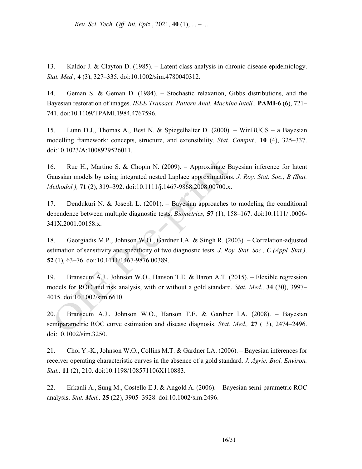13. Kaldor J. & Clayton D. (1985). – Latent class analysis in chronic disease epidemiology. *Stat. Med.,* **4** (3), 327–335. doi:10.1002/sim.4780040312.

14. Geman S. & Geman D. (1984). – Stochastic relaxation, Gibbs distributions, and the Bayesian restoration of images. *IEEE Transact. Pattern Anal. Machine Intell.,* **PAMI-6** (6), 721– 741. doi:10.1109/TPAMI.1984.4767596.

15. Lunn D.J., Thomas A., Best N. & Spiegelhalter D. (2000). – WinBUGS – a Bayesian modelling framework: concepts, structure, and extensibility. *Stat. Comput.,* **10** (4), 325–337. doi:10.1023/A:1008929526011.

16. Rue H., Martino S. & Chopin N. (2009). – Approximate Bayesian inference for latent Gaussian models by using integrated nested Laplace approximations. *J. Roy. Stat. Soc., B (Stat. Methodol.),* **71** (2), 319–392. doi:10.1111/j.1467-9868.2008.00700.x.

17. Dendukuri N. & Joseph L. (2001). – Bayesian approaches to modeling the conditional dependence between multiple diagnostic tests. *Biometrics,* **57** (1), 158–167. doi:10.1111/j.0006- 341X.2001.00158.x.

18. Georgiadis M.P., Johnson W.O., Gardner I.A. & Singh R. (2003). – Correlation-adjusted estimation of sensitivity and specificity of two diagnostic tests. *J. Roy. Stat. Soc., C (Appl. Stat.),*  **52** (1), 63–76. doi:10.1111/1467-9876.00389.

19. Branscum A.J., Johnson W.O., Hanson T.E. & Baron A.T. (2015). – Flexible regression models for ROC and risk analysis, with or without a gold standard. *Stat. Med.,* **34** (30), 3997– 4015. doi:10.1002/sim.6610.

20. Branscum A.J., Johnson W.O., Hanson T.E. & Gardner I.A. (2008). – Bayesian semiparametric ROC curve estimation and disease diagnosis. *Stat. Med.,* **27** (13), 2474–2496. doi:10.1002/sim.3250.

21. Choi Y.-K., Johnson W.O., Collins M.T. & Gardner I.A. (2006). – Bayesian inferences for receiver operating characteristic curves in the absence of a gold standard. *J. Agric. Biol. Environ. Stat.,* **11** (2), 210. doi:10.1198/108571106X110883.

22. Erkanli A., Sung M., Costello E.J. & Angold A. (2006). – Bayesian semi-parametric ROC analysis. *Stat. Med.,* **25** (22), 3905–3928. doi:10.1002/sim.2496.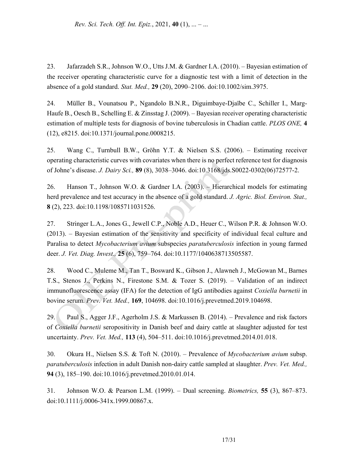23. Jafarzadeh S.R., Johnson W.O., Utts J.M. & Gardner I.A. (2010). – Bayesian estimation of the receiver operating characteristic curve for a diagnostic test with a limit of detection in the absence of a gold standard. *Stat. Med.,* **29** (20), 2090–2106. doi:10.1002/sim.3975.

24. Müller B., Vounatsou P., Ngandolo B.N.R., Diguimbaye-Djaïbe C., Schiller I., Marg-Haufe B., Oesch B., Schelling E. & Zinsstag J. (2009). – Bayesian receiver operating characteristic estimation of multiple tests for diagnosis of bovine tuberculosis in Chadian cattle. *PLOS ONE,* **4** (12), e8215. doi:10.1371/journal.pone.0008215.

25. Wang C., Turnbull B.W., Gröhn Y.T. & Nielsen S.S. (2006). – Estimating receiver operating characteristic curves with covariates when there is no perfect reference test for diagnosis of Johne's disease. *J. Dairy Sci.,* **89** (8), 3038–3046. doi:10.3168/jds.S0022-0302(06)72577-2.

26. Hanson T., Johnson W.O. & Gardner I.A. (2003). – Hierarchical models for estimating herd prevalence and test accuracy in the absence of a gold standard. *J. Agric. Biol. Environ. Stat.,*  **8** (2), 223. doi:10.1198/1085711031526.

27. Stringer L.A., Jones G., Jewell C.P., Noble A.D., Heuer C., Wilson P.R. & Johnson W.O. (2013). – Bayesian estimation of the sensitivity and specificity of individual fecal culture and Paralisa to detect *Mycobacterium avium* subspecies *paratuberculosis* infection in young farmed deer. *J. Vet. Diag. Invest.,* **25** (6), 759–764. doi:10.1177/1040638713505587.

28. Wood C., Muleme M., Tan T., Bosward K., Gibson J., Alawneh J., McGowan M., Barnes T.S., Stenos J., Perkins N., Firestone S.M. & Tozer S. (2019). – Validation of an indirect immunofluorescence assay (IFA) for the detection of IgG antibodies against *Coxiella burnetii* in bovine serum. *Prev. Vet. Med.,* **169**, 104698. doi:10.1016/j.prevetmed.2019.104698.

29. Paul S., Agger J.F., Agerholm J.S. & Markussen B. (2014). – Prevalence and risk factors of *Coxiella burnetii* seropositivity in Danish beef and dairy cattle at slaughter adjusted for test uncertainty. *Prev. Vet. Med.,* **113** (4), 504–511. doi:10.1016/j.prevetmed.2014.01.018.

30. Okura H., Nielsen S.S. & Toft N. (2010). – Prevalence of *Mycobacterium avium* subsp. *paratuberculosis* infection in adult Danish non-dairy cattle sampled at slaughter. *Prev. Vet. Med.,*  **94** (3), 185–190. doi:10.1016/j.prevetmed.2010.01.014.

31. Johnson W.O. & Pearson L.M. (1999). – Dual screening. *Biometrics,* **55** (3), 867–873. doi:10.1111/j.0006-341x.1999.00867.x.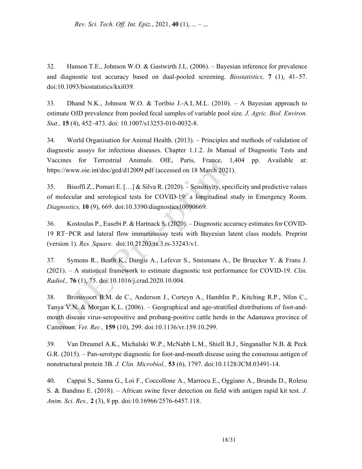32. Hanson T.E., Johnson W.O. & Gastwirth J.L. (2006). – Bayesian inference for prevalence and diagnostic test accuracy based on dual-pooled screening. *Biostatistics,* **7** (1), 41–57. doi:10.1093/biostatistics/kxi039.

33. Dhand N.K., Johnson W.O. & Toribio J.-A.L.M.L. (2010). – A Bayesian approach to estimate OJD prevalence from pooled fecal samples of variable pool size. *J. Agric. Biol. Environ. Stat.,* **15** (4), 452–473. doi: 10.1007/s13253-010-0032-8.

34. World Organisation for Animal Health. (2013). – Principles and methods of validation of diagnostic assays for infectious diseases. Chapter 1.1.2. *In* Manual of Diagnostic Tests and Vaccines for Terrestrial Animals. OIE, Paris, France, 1,404 pp. Available at: https://www.oie.int/doc/ged/d12009.pdf (accessed on 18 March 2021).

35. Bisoffi Z., Pomari E. […] & Silva R. (2020). – Sensitivity, specificity and predictive values of molecular and serological tests for COVID-19: a longitudinal study in Emergency Room. *Diagnostics,* **10** (9), 669. doi:10.3390/diagnostics10090669.

36. Kostoulas P., Eusebi P. & Hartnack S. (2020). – Diagnostic accuracy estimates for COVID-19 RT−PCR and lateral flow immunoassay tests with Bayesian latent class models. Preprint (version 1). *Res. Square.* doi:10.21203/rs.3.rs-33243/v1.

37. Symons R., Beath K., Dangis A., Lefever S., Smismans A., De Bruecker Y. & Frans J. (2021). – A statistical framework to estimate diagnostic test performance for COVID-19. *Clin. Radiol.,* **76** (1), 75. doi:10.1016/j.crad.2020.10.004.

38. Bronsvoort B.M. de C., Anderson J., Corteyn A., Hamblin P., Kitching R.P., Nfon C., Tanya V.N. & Morgan K.L. (2006). – Geographical and age-stratified distributions of foot-andmouth disease virus-seropositive and probang-positive cattle herds in the Adamawa province of Cameroon. *Vet. Rec.,* **159** (10), 299. doi:10.1136/vr.159.10.299.

39. Van Dreumel A.K., Michalski W.P., McNabb L.M., Shiell B.J., Singanallur N.B. & Peck G.R. (2015). – Pan-serotype diagnostic for foot-and-mouth disease using the consensus antigen of nonstructural protein 3B. *J. Clin. Microbiol.,* **53** (6), 1797. doi:10.1128/JCM.03491-14.

40. Cappai S., Sanna G., Loi F., Coccollone A., Marrocu E., Oggiano A., Brundu D., Rolesu S. & Bandino E. (2018). – African swine fever detection on field with antigen rapid kit test. *J. Anim. Sci. Res.,* **2** (3), 8 pp. doi:10.16966/2576-6457.118.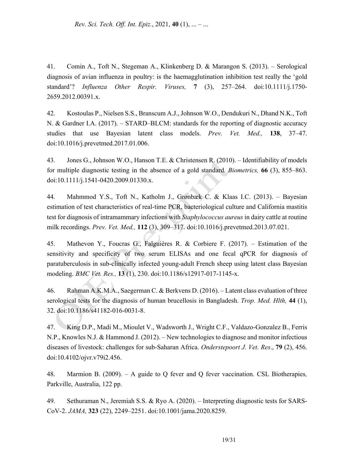41. Comin A., Toft N., Stegeman A., Klinkenberg D. & Marangon S. (2013). – Serological diagnosis of avian influenza in poultry: is the haemagglutination inhibition test really the 'gold standard'? *Influenza Other Respir. Viruses,* **7** (3), 257–264. doi:10.1111/j.1750- 2659.2012.00391.x.

42. Kostoulas P., Nielsen S.S., Branscum A.J., Johnson W.O., Dendukuri N., Dhand N.K., Toft N. & Gardner I.A. (2017). – STARD–BLCM: standards for the reporting of diagnostic accuracy studies that use Bayesian latent class models. *Prev. Vet. Med.,* **138**, 37–47. doi:10.1016/j.prevetmed.2017.01.006.

43. Jones G., Johnson W.O., Hanson T.E. & Christensen R. (2010). – Identifiability of models for multiple diagnostic testing in the absence of a gold standard. *Biometrics,* **66** (3), 855–863. doi:10.1111/j.1541-0420.2009.01330.x.

44. Mahmmod Y.S., Toft N., Katholm J., Grønbæk C. & Klaas I.C. (2013). – Bayesian estimation of test characteristics of real-time PCR, bacteriological culture and California mastitis test for diagnosis of intramammary infections with *Staphylococcus aureus* in dairy cattle at routine milk recordings. *Prev. Vet. Med.,* **112** (3), 309–317. doi:10.1016/j.prevetmed.2013.07.021.

45. Mathevon Y., Foucras G., Falguières R. & Corbiere F. (2017). – Estimation of the sensitivity and specificity of two serum ELISAs and one fecal qPCR for diagnosis of paratuberculosis in sub-clinically infected young-adult French sheep using latent class Bayesian modeling. *BMC Vet. Res.,* **13** (1), 230. doi:10.1186/s12917-017-1145-x.

46. Rahman A.K.M.A., Saegerman C. & Berkvens D. (2016). – Latent class evaluation of three serological tests for the diagnosis of human brucellosis in Bangladesh. *Trop. Med. Hlth,* **44** (1), 32. doi:10.1186/s41182-016-0031-8.

47. King D.P., Madi M., Mioulet V., Wadsworth J., Wright C.F., Valdazo-Gonzalez B., Ferris N.P., Knowles N.J. & Hammond J. (2012). – New technologies to diagnose and monitor infectious diseases of livestock: challenges for sub-Saharan Africa. *Onderstepoort J. Vet. Res*., **79** (2), 456. doi:10.4102/ojvr.v79i2.456.

48. Marmion B. (2009). – A guide to Q fever and Q fever vaccination. CSL Biotherapies*,*  Parkville, Australia, 122 pp.

49. Sethuraman N., Jeremiah S.S. & Ryo A. (2020). – Interpreting diagnostic tests for SARS-CoV-2. *JAMA,* **323** (22), 2249–2251. doi:10.1001/jama.2020.8259.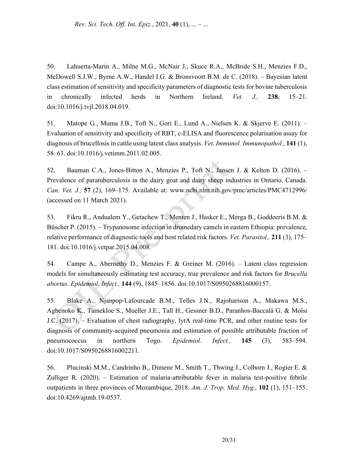50. Lahuerta-Marin A., Milne M.G., McNair J., Skuce R.A., McBride S.H., Menzies F.D., McDowell S.J.W., Byrne A.W., Handel I.G. & Bronsvoort B.M. de C. (2018). – Bayesian latent class estimation of sensitivity and specificity parameters of diagnostic tests for bovine tuberculosis in chronically infected herds in Northern Ireland. *Vet. J.,* **238**, 15–21. doi:10.1016/j.tvjl.2018.04.019.

51. Matope G., Muma J.B., Toft N., Gori E., Lund A., Nielsen K. & Skjerve E. (2011). – Evaluation of sensitivity and specificity of RBT, c-ELISA and fluorescence polarisation assay for diagnosis of brucellosis in cattle using latent class analysis. *Vet. Immunol. Immunopathol.,* **141** (1), 58–63. doi:10.1016/j.vetimm.2011.02.005.

52. Bauman C.A., Jones-Bitton A., Menzies P., Toft N., Jansen J. & Kelton D. (2016). – Prevalence of paratuberculosis in the dairy goat and dairy sheep industries in Ontario, Canada. *Can. Vet. J.,* **57** (2), 169–175. Available at: www.ncbi.nlm.nih.gov/pmc/articles/PMC4712996/ (accessed on 11 March 2021).

53. Fikru R., Andualem Y., Getachew T., Menten J., Hasker E., Merga B., Goddeeris B.M. & Büscher P. (2015). – Trypanosome infection in dromedary camels in eastern Ethiopia: prevalence, relative performance of diagnostic tools and host related risk factors. *Vet. Parasitol.,* **211** (3), 175– 181. doi:10.1016/j.vetpar.2015.04.008.

54. Campe A., Abernethy D., Menzies F. & Greiner M. (2016). – Latent class regression models for simultaneously estimating test accuracy, true prevalence and risk factors for *Brucella abortus*. *Epidemiol. Infect.,* **144** (9), 1845–1856. doi:10.1017/S0950268816000157.

55. Blake A., Njanpop-Lafourcade B.M., Telles J.N., Rajoharison A., Makawa M.S., Agbenoko K., Tamekloe S., Mueller J.E., Tall H., Gessner B.D., Paranhos-Baccalà G. & Moïsi J.C. (2017). – Evaluation of chest radiography, lytA real-time PCR, and other routine tests for diagnosis of community-acquired pneumonia and estimation of possible attributable fraction of pneumococcus in northern Togo. *Epidemiol. Infect.,* **145** (3), 583–594. doi:10.1017/S0950268816002211.

56. Plucinski M.M., Candrinho B., Dimene M., Smith T., Thwing J., Colborn J., Rogier E. & Zulliger R. (2020). – Estimation of malaria-attributable fever in malaria test-positive febrile outpatients in three provinces of Mozambique, 2018. *Am. J. Trop. Med. Hyg.,* **102** (1), 151–155. doi:10.4269/ajtmh.19-0537.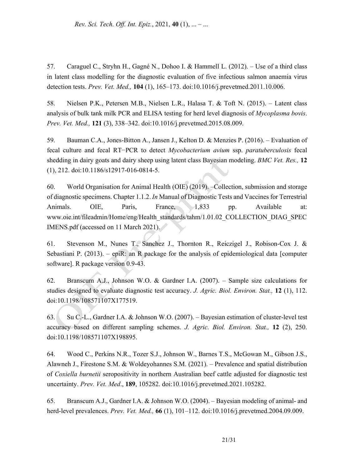57. Caraguel C., Stryhn H., Gagné N., Dohoo I. & Hammell L. (2012). – Use of a third class in latent class modelling for the diagnostic evaluation of five infectious salmon anaemia virus detection tests. *Prev. Vet. Med.,* **104** (1), 165–173. doi:10.1016/j.prevetmed.2011.10.006.

58. Nielsen P.K., Petersen M.B., Nielsen L.R., Halasa T. & Toft N. (2015). – Latent class analysis of bulk tank milk PCR and ELISA testing for herd level diagnosis of *Mycoplasma bovis*. *Prev. Vet. Med.,* **121** (3), 338–342. doi:10.1016/j.prevetmed.2015.08.009.

59. Bauman C.A., Jones-Bitton A., Jansen J., Kelton D. & Menzies P. (2016). – Evaluation of fecal culture and fecal RT−PCR to detect *Mycobacterium avium* ssp. *paratuberculosis* fecal shedding in dairy goats and dairy sheep using latent class Bayesian modeling. *BMC Vet. Res.,* **12** (1), 212. doi:10.1186/s12917-016-0814-5.

60. World Organisation for Animal Health (OIE) (2019). –Collection, submission and storage of diagnostic specimens. Chapter 1.1.2. *In* Manual of Diagnostic Tests and Vaccines for Terrestrial Animals. OIE, Paris, France, 1,833 pp. Available at: www.oie.int/fileadmin/Home/eng/Health\_standards/tahm/1.01.02\_COLLECTION\_DIAG\_SPEC IMENS.pdf (accessed on 11 March 2021).

61. Stevenson M., Nunes T., Sanchez J., Thornton R., Reiczigel J., Robison-Cox J. & Sebastiani P. (2013). – epiR: an R package for the analysis of epidemiological data [computer software]. R package version 0.9-43.

62. Branscum A.J., Johnson W.O. & Gardner I.A. (2007). – Sample size calculations for studies designed to evaluate diagnostic test accuracy. *J. Agric. Biol. Environ. Stat.,* **12** (1), 112. doi:10.1198/108571107X177519.

63. Su C.-L., Gardner I.A. & Johnson W.O. (2007). – Bayesian estimation of cluster-level test accuracy based on different sampling schemes. *J. Agric. Biol. Environ. Stat.,* **12** (2), 250. doi:10.1198/108571107X198895.

64. Wood C., Perkins N.R., Tozer S.J., Johnson W., Barnes T.S., McGowan M., Gibson J.S., Alawneh J., Firestone S.M. & Woldeyohannes S.M. (2021). – Prevalence and spatial distribution of *Coxiella burnetii* seropositivity in northern Australian beef cattle adjusted for diagnostic test uncertainty. *Prev. Vet. Med*., **189**, 105282. doi:10.1016/j.prevetmed.2021.105282.

65. Branscum A.J., Gardner I.A. & Johnson W.O. (2004). – Bayesian modeling of animal- and herd-level prevalences. *Prev. Vet. Med.,* **66** (1), 101–112. doi:10.1016/j.prevetmed.2004.09.009.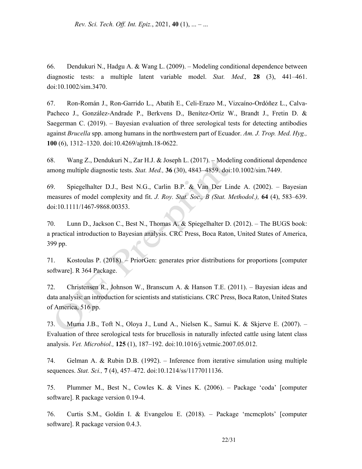66. Dendukuri N., Hadgu A. & Wang L. (2009). – Modeling conditional dependence between diagnostic tests: a multiple latent variable model. *Stat. Med.,* **28** (3), 441–461. doi:10.1002/sim.3470.

67. Ron-Román J., Ron-Garrido L., Abatih E., Celi-Erazo M., Vizcaíno-Ordóñez L., Calva-Pacheco J., González-Andrade P., Berkvens D., Benítez-Ortíz W., Brandt J., Fretin D. & Saegerman C. (2019). – Bayesian evaluation of three serological tests for detecting antibodies against *Brucella* spp. among humans in the northwestern part of Ecuador. *Am. J. Trop. Med. Hyg.,*  **100** (6), 1312–1320. doi:10.4269/ajtmh.18-0622.

68. Wang Z., Dendukuri N., Zar H.J. & Joseph L. (2017). – Modeling conditional dependence among multiple diagnostic tests. *Stat. Med.,* **36** (30), 4843–4859. doi:10.1002/sim.7449.

69. Spiegelhalter D.J., Best N.G., Carlin B.P. & Van Der Linde A. (2002). – Bayesian measures of model complexity and fit. *J. Roy. Stat. Soc., B (Stat. Methodol.),* **64** (4), 583–639. doi:10.1111/1467-9868.00353.

70. Lunn D., Jackson C., Best N., Thomas A. & Spiegelhalter D. (2012). – The BUGS book: a practical introduction to Bayesian analysis. CRC Press, Boca Raton, United States of America, 399 pp.

71. Kostoulas P. (2018). – PriorGen: generates prior distributions for proportions [computer software]. R 364 Package.

72. Christensen R., Johnson W., Branscum A. & Hanson T.E. (2011). – Bayesian ideas and data analysis: an introduction for scientists and statisticians. CRC Press, Boca Raton, United States of America, 516 pp.

73. Muma J.B., Toft N., Oloya J., Lund A., Nielsen K., Samui K. & Skjerve E. (2007). – Evaluation of three serological tests for brucellosis in naturally infected cattle using latent class analysis. *Vet. Microbiol.,* **125** (1), 187–192. doi:10.1016/j.vetmic.2007.05.012.

74. Gelman A. & Rubin D.B. (1992). – Inference from iterative simulation using multiple sequences. *Stat. Sci.,* **7** (4), 457–472. doi:10.1214/ss/1177011136.

75. Plummer M., Best N., Cowles K. & Vines K. (2006). – Package 'coda' [computer software]. R package version 0.19-4.

76. Curtis S.M., Goldin I. & Evangelou E. (2018). – Package 'mcmcplots' [computer software]. R package version 0.4.3.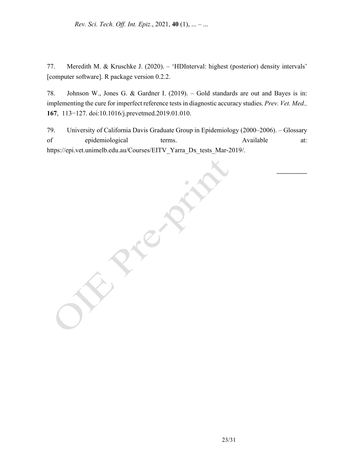*Rev. Sci. Tech. Off. Int. Epiz.*, 2021, **40** (1), ... – ...

**ENTERN** 

77. Meredith M. & Kruschke J. (2020). – 'HDInterval: highest (posterior) density intervals' [computer software]. R package version 0.2.2.

78. Johnson W., Jones G. & Gardner I. (2019). – Gold standards are out and Bayes is in: implementing the cure for imperfect reference tests in diagnostic accuracy studies. *Prev. Vet. Med.,*  **167**, 113−127. doi:10.1016/j.prevetmed.2019.01.010.

79. University of California Davis Graduate Group in Epidemiology (2000–2006). – Glossary of epidemiological terms. Available at: https://epi.vet.unimelb.edu.au/Courses/EITV\_Yarra\_Dx\_tests\_Mar-2019/.

23/31

\_\_\_\_\_\_\_\_\_\_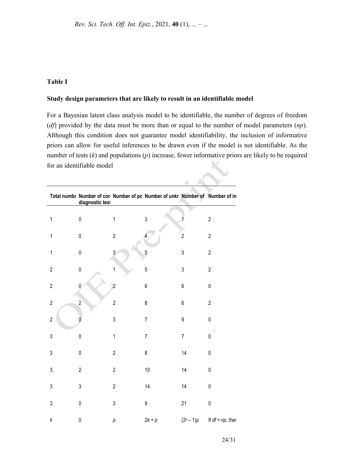### **Table I**

#### **Study design parameters that are likely to result in an identifiable model**

For a Bayesian latent class analysis model to be identifiable, the number of degrees of freedom (*df*) provided by the data must be more than or equal to the number of model parameters (*np*). Although this condition does not guarantee model identifiability, the inclusion of informative priors can allow for useful inferences to be drawn even if the model is not identifiable. As the number of tests (*k*) and populations (*p*) increase, fewer informative priors are likely to be required for an identifiable model

 $\odot$ 

|                | diagnostic test |                         | Total numbe Number of cor Number of po Number of unkr Number of Number of in |                |                                  |
|----------------|-----------------|-------------------------|------------------------------------------------------------------------------|----------------|----------------------------------|
| $\mathbf 1$    | $\pmb{0}$       | $\mathbf 1$             | 3                                                                            |                | $\overline{\mathbf{c}}$          |
| $\mathbf 1$    | $\pmb{0}$       | $\overline{2}$          | $\overline{4}$                                                               | $\overline{c}$ | $\overline{c}$                   |
| $\mathbf 1$    | $\pmb{0}$       | 3                       | 5                                                                            | $\mathfrak{Z}$ | $\overline{2}$                   |
| $\overline{2}$ | $\pmb{0}$       | $\overline{\mathbf{1}}$ | 5                                                                            | $\mathfrak{Z}$ | $\overline{2}$                   |
| $\sqrt{2}$     | $\overline{0}$  | $\overline{c}$          | 6                                                                            | 6              | $\pmb{0}$                        |
| $\sqrt{2}$     | $\overline{2}$  | $\overline{c}$          | 8                                                                            | 6              | $\overline{c}$                   |
| $\overline{c}$ | 0               | 3                       | $\overline{7}$                                                               | 9              | $\pmb{0}$                        |
| 3              | $\mathbf 0$     | $\mathbf 1$             | $\overline{7}$                                                               | $\overline{7}$ | $\pmb{0}$                        |
| 3              | $\pmb{0}$       | $\overline{c}$          | 8                                                                            | 14             | $\pmb{0}$                        |
| 3              | $\overline{2}$  | $\overline{c}$          | $10$                                                                         | 14             | $\pmb{0}$                        |
| 3              | 3               | $\overline{\mathbf{c}}$ | 14                                                                           | 14             | $\pmb{0}$                        |
| 3              | $\pmb{0}$       | $\sqrt{3}$              | 9                                                                            | 21             | $\pmb{0}$                        |
| $\pmb{k}$      | 0               | р                       | $2k+p$                                                                       |                | $(2^k - 1)p$ If $df < np$ , then |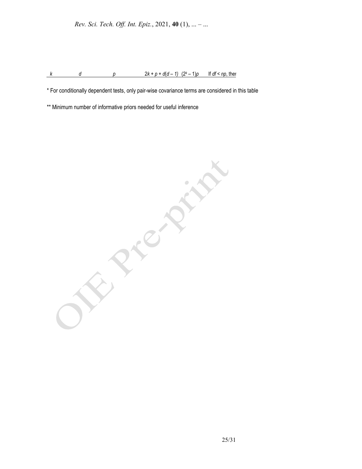### *k d p*  $2k + p + d(d-1) (2^k - 1)p$  If  $df < np$ , then

\* For conditionally dependent tests, only pair-wise covariance terms are considered in this table

\*\* Minimum number of informative priors needed for useful inference

**Elements**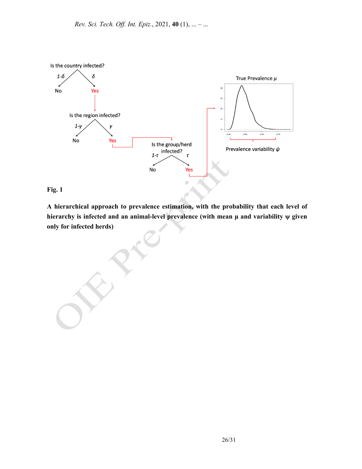

### **Fig. 1**

the contract of the contract of the

**A hierarchical approach to prevalence estimation, with the probability that each level of hierarchy is infected and an animal-level prevalence (with mean μ and variability ψ given only for infected herds)**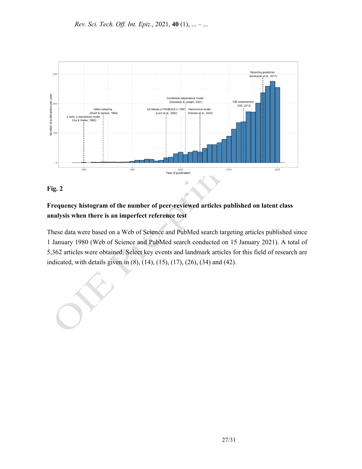

## **Fig. 2**

## **Frequency histogram of the number of peer-reviewed articles published on latent class analysis when there is an imperfect reference test**

These data were based on a Web of Science and PubMed search targeting articles published since 1 January 1980 (Web of Science and PubMed search conducted on 15 January 2021). A total of 5,362 articles were obtained. Select key events and landmark articles for this field of research are indicated, with details given in (8), (14), (15), (17), (26), (34) and (42).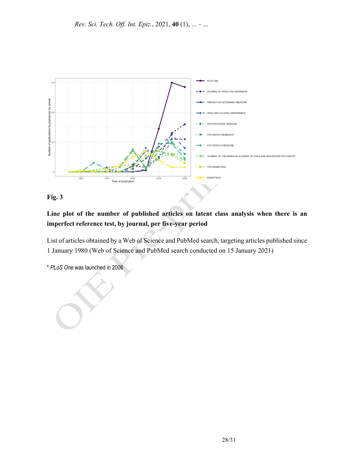



# **Line plot of the number of published articles on latent class analysis when there is an imperfect reference test, by journal, per five-year period**

List of articles obtained by a Web of Science and PubMed search, targeting articles published since 1 January 1980 (Web of Science and PubMed search conducted on 15 January 2021)

\* *PLoS One* was launched in 2006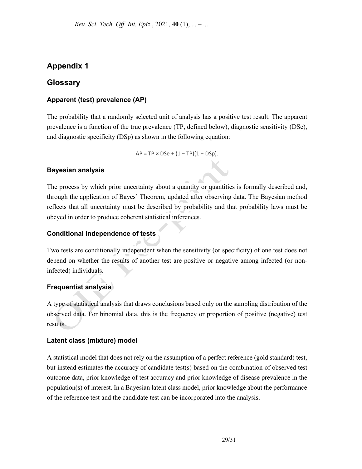# **Appendix 1**

# **Glossary**

## **Apparent (test) prevalence (AP)**

The probability that a randomly selected unit of analysis has a positive test result. The apparent prevalence is a function of the true prevalence (TP, defined below), diagnostic sensitivity (DSe), and diagnostic specificity (DSp) as shown in the following equation:

 $AP = TP \times DSe + (1 - TP)(1 - DSp).$ 

## **Bayesian analysis**

The process by which prior uncertainty about a quantity or quantities is formally described and, through the application of Bayes' Theorem, updated after observing data. The Bayesian method reflects that all uncertainty must be described by probability and that probability laws must be obeyed in order to produce coherent statistical inferences.

## **Conditional independence of tests**

Two tests are conditionally independent when the sensitivity (or specificity) of one test does not depend on whether the results of another test are positive or negative among infected (or noninfected) individuals.

## **Frequentist analysis**

A type of statistical analysis that draws conclusions based only on the sampling distribution of the observed data. For binomial data, this is the frequency or proportion of positive (negative) test results.

## **Latent class (mixture) model**

A statistical model that does not rely on the assumption of a perfect reference (gold standard) test, but instead estimates the accuracy of candidate test(s) based on the combination of observed test outcome data, prior knowledge of test accuracy and prior knowledge of disease prevalence in the population(s) of interest. In a Bayesian latent class model, prior knowledge about the performance of the reference test and the candidate test can be incorporated into the analysis.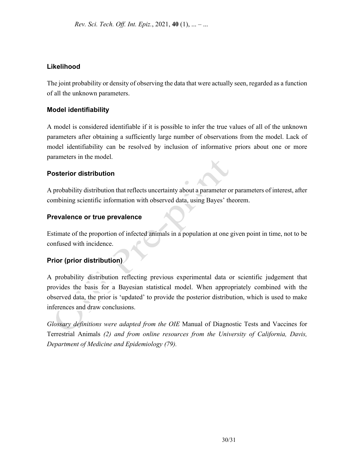## **Likelihood**

The joint probability or density of observing the data that were actually seen, regarded as a function of all the unknown parameters.

## **Model identifiability**

A model is considered identifiable if it is possible to infer the true values of all of the unknown parameters after obtaining a sufficiently large number of observations from the model. Lack of model identifiability can be resolved by inclusion of informative priors about one or more parameters in the model.

## **Posterior distribution**

A probability distribution that reflects uncertainty about a parameter or parameters of interest, after combining scientific information with observed data, using Bayes' theorem.

## **Prevalence or true prevalence**

Estimate of the proportion of infected animals in a population at one given point in time, not to be confused with incidence.

## **Prior (prior distribution)**

A probability distribution reflecting previous experimental data or scientific judgement that provides the basis for a Bayesian statistical model. When appropriately combined with the observed data, the prior is 'updated' to provide the posterior distribution, which is used to make inferences and draw conclusions.

*Glossary definitions were adapted from the OIE* Manual of Diagnostic Tests and Vaccines for Terrestrial Animals *(2) and from online resources from the University of California, Davis, Department of Medicine and Epidemiology (79).*